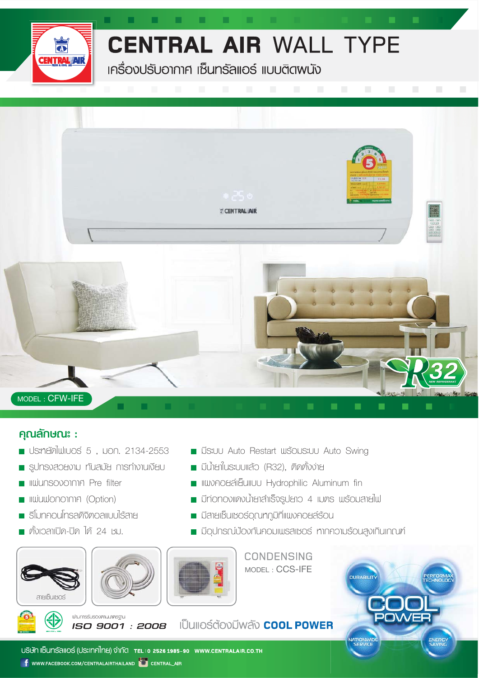

a a s

a ma

 $\blacksquare$ 

### **CENTRAL AIR WALL TYPE**

and the second

**เครื่องปรับอากาศ เซ็นทรัลแอร์ แบบติดพนัง** 



#### คุณลักษณะ :

- **US:netal University** 5, Non. 2134-2553
- sunsvadaviu nūalja msniviulijau
- **I**IIIIIIIIIIISOVOINNA Pre filter
- litudionomne (Option)
- รีโมทคอนโทรลดิจิตอลแบบไร้สาย
- ตั้งเวลาเปิด-ปิด ได้ 24 หม.





ISO 9001 : 2008

น่านการรับรองศามมาศรฐาน



**CONDENSING** MODEL: CCS-IFE

**E มีระบบ Auto Restart พร้อมระบบ Auto Swing** 

**II IIWDAOSAIEUIIUU Hydrophilic Aluminum fin** 

Diplomovino เป็นสำเร็จรูปยาว 4 เมตร พร้อมสายไฟ

Upunsní vonunou mesmo s mondusováni provínce

**DURABILIT** 

■ มีน้ำยาในระบบแล้ว (R32), ติดตั้งง่าย

 $\blacksquare$  มีสายเซ็นเซอร์อุณทัฏมิที่แพงคอยส์ร้อน

#### เป็นแอร์ต้องมีพลัง **COOL POWER**

USิษัท เซ็นทรัลแอร์ (ประเทศไทย) จำกัด TEL:0 25261985-90 www.CENTRALAIR.CO.TH **f** www.facebook.com/centralairthailand **to central\_air**